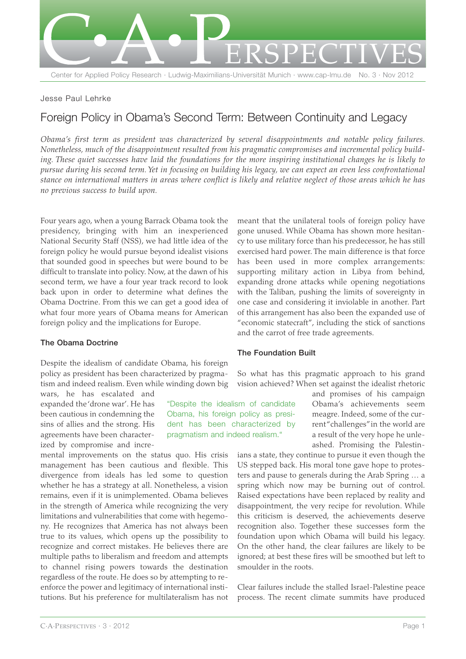

## Jesse Paul Lehrke

# Foreign Policy in Obama's Second Term: Between Continuity and Legacy

*Obama's first term as president was characterized by several disappointments and notable policy failures. Nonetheless, much of the disappointment resulted from his pragmatic compromises and incremental policy building. These quiet successes have laid the foundations for the more inspiring institutional changes he is likely to pursue during his second term. Yet in focusing on building his legacy, we can expect an even less confrontational stance on international matters in areas where conflict is likely and relative neglect of those areas which he has no previous success to build upon.*

> "Despite the idealism of candidate Obama, his foreign policy as president has been characterized by pragmatism and indeed realism."

Four years ago, when a young Barrack Obama took the presidency, bringing with him an inexperienced National Security Staff (NSS), we had little idea of the foreign policy he would pursue beyond idealist visions that sounded good in speeches but were bound to be difficult to translate into policy. Now, at the dawn of his second term, we have a four year track record to look back upon in order to determine what defines the Obama Doctrine. From this we can get a good idea of what four more years of Obama means for American foreign policy and the implications for Europe.

## **The Obama Doctrine**

Despite the idealism of candidate Obama, his foreign policy as president has been characterized by pragmatism and indeed realism. Even while winding down big

wars, he has escalated and expanded the 'drone war'. He has been cautious in condemning the sins of allies and the strong. His agreements have been characterized by compromise and incre-

mental improvements on the status quo. His crisis management has been cautious and flexible. This divergence from ideals has led some to question whether he has a strategy at all. Nonetheless, a vision remains, even if it is unimplemented. Obama believes in the strength of America while recognizing the very limitations and vulnerabilities that come with hegemony. He recognizes that America has not always been true to its values, which opens up the possibility to recognize and correct mistakes. He believes there are multiple paths to liberalism and freedom and attempts to channel rising powers towards the destination regardless of the route. He does so by attempting to reenforce the power and legitimacy of international institutions. But his preference for multilateralism has not

meant that the unilateral tools of foreign policy have gone unused. While Obama has shown more hesitancy to use military force than his predecessor, he has still exercised hard power. The main difference is that force has been used in more complex arrangements: supporting military action in Libya from behind, expanding drone attacks while opening negotiations with the Taliban, pushing the limits of sovereignty in one case and considering it inviolable in another. Part of this arrangement has also been the expanded use of "economic statecraft", including the stick of sanctions and the carrot of free trade agreements.

## **The Foundation Built**

So what has this pragmatic approach to his grand vision achieved? When set against the idealist rhetoric

> and promises of his campaign Obama's achievements seem meagre. Indeed, some of the current "challenges"in the world are a result of the very hope he unleashed. Promising the Palestin-

ians a state, they continue to pursue it even though the US stepped back. His moral tone gave hope to protesters and pause to generals during the Arab Spring … a spring which now may be burning out of control. Raised expectations have been replaced by reality and disappointment, the very recipe for revolution. While this criticism is deserved, the achievements deserve recognition also. Together these successes form the foundation upon which Obama will build his legacy. On the other hand, the clear failures are likely to be ignored; at best these fires will be smoothed but left to smoulder in the roots.

Clear failures include the stalled Israel-Palestine peace process. The recent climate summits have produced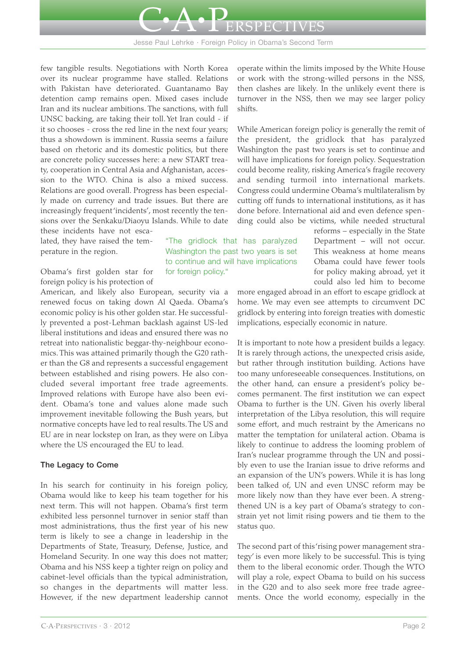

Jesse Paul Lehrke · Foreign Policy in Obama's Second Term

few tangible results. Negotiations with North Korea over its nuclear programme have stalled. Relations with Pakistan have deteriorated. Guantanamo Bay detention camp remains open. Mixed cases include Iran and its nuclear ambitions. The sanctions, with full UNSC backing, are taking their toll. Yet Iran could - if it so chooses - cross the red line in the next four years; thus a showdown is imminent. Russia seems a failure based on rhetoric and its domestic politics, but there are concrete policy successes here: a new START treaty, cooperation in Central Asia and Afghanistan, accession to the WTO. China is also a mixed success. Relations are good overall. Progress has been especially made on currency and trade issues. But there are increasingly frequent 'incidents', most recently the tensions over the Senkaku/Diaoyu Islands. While to date these incidents have not esca-

lated, they have raised the temperature in the region.

Obama's first golden star for foreign policy is his protection of

American, and likely also European, security via a renewed focus on taking down Al Qaeda. Obama's economic policy is his other golden star. He successfully prevented a post-Lehman backlash against US-led liberal institutions and ideas and ensured there was no retreat into nationalistic beggar-thy-neighbour economics. This was attained primarily though the G20 rather than the G8 and represents a successful engagement between established and rising powers. He also concluded several important free trade agreements. Improved relations with Europe have also been evident. Obama's tone and values alone made such improvement inevitable following the Bush years, but normative concepts have led to real results. The US and EU are in near lockstep on Iran, as they were on Libya where the US encouraged the EU to lead.

## **The Legacy to Come**

In his search for continuity in his foreign policy, Obama would like to keep his team together for his next term. This will not happen. Obama's first term exhibited less personnel turnover in senior staff than most administrations, thus the first year of his new term is likely to see a change in leadership in the Departments of State, Treasury, Defense, Justice, and Homeland Security. In one way this does not matter; Obama and his NSS keep a tighter reign on policy and cabinet-level officials than the typical administration, so changes in the departments will matter less. However, if the new department leadership cannot

"The gridlock that has paralyzed Washington the past two years is set to continue and will have implications for foreign policy."

operate within the limits imposed by the White House or work with the strong-willed persons in the NSS, then clashes are likely. In the unlikely event there is turnover in the NSS, then we may see larger policy shifts.

While American foreign policy is generally the remit of the president, the gridlock that has paralyzed Washington the past two years is set to continue and will have implications for foreign policy. Sequestration could become reality, risking America's fragile recovery and sending turmoil into international markets. Congress could undermine Obama's multilateralism by cutting off funds to international institutions, as it has done before. International aid and even defence spending could also be victims, while needed structural

> reforms – especially in the State Department – will not occur. This weakness at home means Obama could have fewer tools for policy making abroad, yet it could also led him to become

more engaged abroad in an effort to escape gridlock at home. We may even see attempts to circumvent DC gridlock by entering into foreign treaties with domestic implications, especially economic in nature.

It is important to note how a president builds a legacy. It is rarely through actions, the unexpected crisis aside, but rather through institution building. Actions have too many unforeseeable consequences. Institutions, on the other hand, can ensure a president's policy becomes permanent. The first institution we can expect Obama to further is the UN. Given his overly liberal interpretation of the Libya resolution, this will require some effort, and much restraint by the Americans no matter the temptation for unilateral action. Obama is likely to continue to address the looming problem of Iran's nuclear programme through the UN and possibly even to use the Iranian issue to drive reforms and an expansion of the UN's powers. While it is has long been talked of, UN and even UNSC reform may be more likely now than they have ever been. A strengthened UN is a key part of Obama's strategy to constrain yet not limit rising powers and tie them to the status quo.

The second part of this 'rising power management strategy' is even more likely to be successful. This is tying them to the liberal economic order. Though the WTO will play a role, expect Obama to build on his success in the G20 and to also seek more free trade agreements. Once the world economy, especially in the